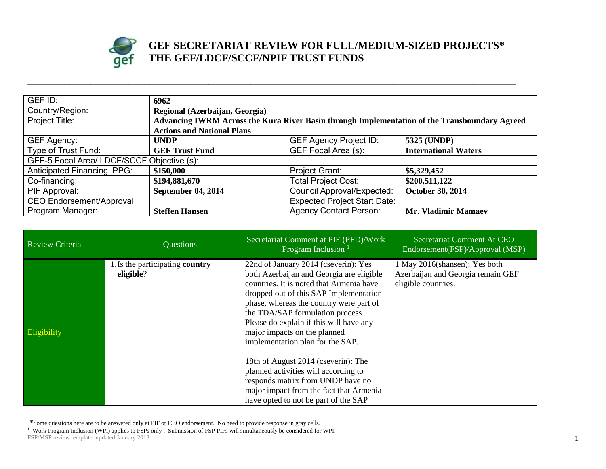

## **GEF SECRETARIAT REVIEW FOR FULL/MEDIUM-SIZED PROJECTS\* THE GEF/LDCF/SCCF/NPIF TRUST FUNDS**

| GEF ID:                                    | 6962                                                                                          |                                     |                             |
|--------------------------------------------|-----------------------------------------------------------------------------------------------|-------------------------------------|-----------------------------|
| Country/Region:                            | Regional (Azerbaijan, Georgia)                                                                |                                     |                             |
| Project Title:                             | Advancing IWRM Across the Kura River Basin through Implementation of the Transboundary Agreed |                                     |                             |
|                                            | <b>Actions and National Plans</b>                                                             |                                     |                             |
| GEF Agency:                                | <b>UNDP</b>                                                                                   | <b>GEF Agency Project ID:</b>       | 5325 (UNDP)                 |
| Type of Trust Fund:                        | <b>GEF Trust Fund</b>                                                                         | GEF Focal Area (s):                 | <b>International Waters</b> |
| GEF-5 Focal Area/ LDCF/SCCF Objective (s): |                                                                                               |                                     |                             |
| <b>Anticipated Financing PPG:</b>          | \$150,000                                                                                     | Project Grant:                      | \$5,329,452                 |
| Co-financing:                              | \$194,881,670                                                                                 | <b>Total Project Cost:</b>          | \$200,511,122               |
| PIF Approval:                              | <b>September 04, 2014</b>                                                                     | <b>Council Approval/Expected:</b>   | October 30, 2014            |
| <b>CEO Endorsement/Approval</b>            |                                                                                               | <b>Expected Project Start Date:</b> |                             |
| Program Manager:                           | <b>Steffen Hansen</b>                                                                         | <b>Agency Contact Person:</b>       | <b>Mr. Vladimir Mamaev</b>  |

**\_\_\_\_\_\_\_\_\_\_\_\_\_\_\_\_\_\_\_\_\_\_\_\_\_\_\_\_\_\_\_\_\_\_\_\_\_\_\_\_\_\_\_\_\_\_\_\_\_\_\_\_\_\_\_\_\_\_\_\_\_\_\_\_\_\_\_\_\_\_\_\_\_\_\_\_\_\_\_\_\_\_\_\_\_\_\_\_\_\_\_\_\_\_\_\_\_\_\_\_\_\_\_\_\_\_\_\_\_\_\_\_\_\_\_\_**

| Review Criteria | <b>Questions</b>                             | Secretariat Comment at PIF (PFD)/Work<br>Program Inclusion $1$                                                                                                                                                                                                                                                                                                                                                                                                                                                                                                              | Secretariat Comment At CEO<br>Endorsement(FSP)/Approval (MSP)                             |
|-----------------|----------------------------------------------|-----------------------------------------------------------------------------------------------------------------------------------------------------------------------------------------------------------------------------------------------------------------------------------------------------------------------------------------------------------------------------------------------------------------------------------------------------------------------------------------------------------------------------------------------------------------------------|-------------------------------------------------------------------------------------------|
| Eligibility     | 1. Is the participating country<br>eligible? | 22nd of January 2014 (cseverin): Yes<br>both Azerbaijan and Georgia are eligible<br>countries. It is noted that Armenia have<br>dropped out of this SAP Implementation<br>phase, whereas the country were part of<br>the TDA/SAP formulation process.<br>Please do explain if this will have any<br>major impacts on the planned<br>implementation plan for the SAP.<br>18th of August 2014 (cseverin): The<br>planned activities will according to<br>responds matrix from UNDP have no<br>major impact from the fact that Armenia<br>have opted to not be part of the SAP | 1 May 2016(shansen): Yes both<br>Azerbaijan and Georgia remain GEF<br>eligible countries. |

<sup>\*</sup>Some questions here are to be answered only at PIF or CEO endorsement. No need to provide response in gray cells.

 $\overline{a}$ 

**FSP/MSP** review template: updated January 2013 1 <sup>1</sup> Work Program Inclusion (WPI) applies to FSPs only . Submission of FSP PIFs will simultaneously be considered for WPI.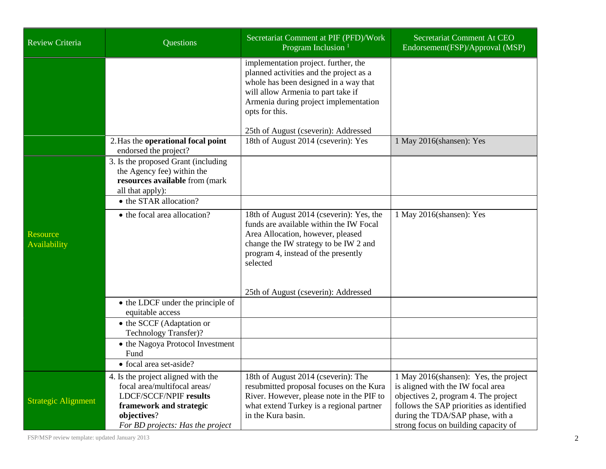| <b>Review Criteria</b>          | Questions                                                                                                                                                                         | Secretariat Comment at PIF (PFD)/Work<br>Program Inclusion <sup>1</sup>                                                                                                                                                                                           | Secretariat Comment At CEO<br>Endorsement(FSP)/Approval (MSP)                                                                                                                                                                              |
|---------------------------------|-----------------------------------------------------------------------------------------------------------------------------------------------------------------------------------|-------------------------------------------------------------------------------------------------------------------------------------------------------------------------------------------------------------------------------------------------------------------|--------------------------------------------------------------------------------------------------------------------------------------------------------------------------------------------------------------------------------------------|
|                                 |                                                                                                                                                                                   | implementation project. further, the<br>planned activities and the project as a<br>whole has been designed in a way that<br>will allow Armenia to part take if<br>Armenia during project implementation<br>opts for this.<br>25th of August (cseverin): Addressed |                                                                                                                                                                                                                                            |
|                                 | 2. Has the operational focal point<br>endorsed the project?                                                                                                                       | 18th of August 2014 (cseverin): Yes                                                                                                                                                                                                                               | 1 May 2016(shansen): Yes                                                                                                                                                                                                                   |
|                                 | 3. Is the proposed Grant (including<br>the Agency fee) within the<br>resources available from (mark<br>all that apply):                                                           |                                                                                                                                                                                                                                                                   |                                                                                                                                                                                                                                            |
|                                 | • the STAR allocation?                                                                                                                                                            |                                                                                                                                                                                                                                                                   |                                                                                                                                                                                                                                            |
| <b>Resource</b><br>Availability | • the focal area allocation?                                                                                                                                                      | 18th of August 2014 (cseverin): Yes, the<br>funds are available within the IW Focal<br>Area Allocation, however, pleased<br>change the IW strategy to be IW 2 and<br>program 4, instead of the presently<br>selected                                              | 1 May 2016(shansen): Yes                                                                                                                                                                                                                   |
|                                 |                                                                                                                                                                                   | 25th of August (cseverin): Addressed                                                                                                                                                                                                                              |                                                                                                                                                                                                                                            |
|                                 | • the LDCF under the principle of<br>equitable access                                                                                                                             |                                                                                                                                                                                                                                                                   |                                                                                                                                                                                                                                            |
|                                 | • the SCCF (Adaptation or<br>Technology Transfer)?                                                                                                                                |                                                                                                                                                                                                                                                                   |                                                                                                                                                                                                                                            |
|                                 | • the Nagoya Protocol Investment<br>Fund                                                                                                                                          |                                                                                                                                                                                                                                                                   |                                                                                                                                                                                                                                            |
|                                 | • focal area set-aside?                                                                                                                                                           |                                                                                                                                                                                                                                                                   |                                                                                                                                                                                                                                            |
| <b>Strategic Alignment</b>      | 4. Is the project aligned with the<br>focal area/multifocal areas/<br><b>LDCF/SCCF/NPIF results</b><br>framework and strategic<br>objectives?<br>For BD projects: Has the project | 18th of August 2014 (cseverin): The<br>resubmitted proposal focuses on the Kura<br>River. However, please note in the PIF to<br>what extend Turkey is a regional partner<br>in the Kura basin.                                                                    | 1 May 2016(shansen): Yes, the project<br>is aligned with the IW focal area<br>objectives 2, program 4. The project<br>follows the SAP priorities as identified<br>during the TDA/SAP phase, with a<br>strong focus on building capacity of |

FSP/MSP review template: updated January 2013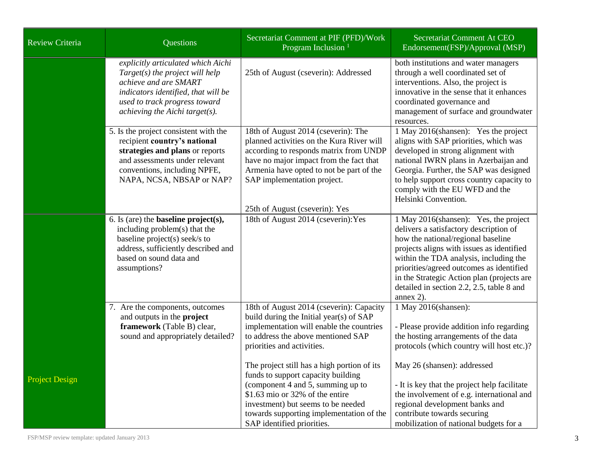| Review Criteria       | <b>Questions</b>                                                                                                                                                                                               | Secretariat Comment at PIF (PFD)/Work<br>Program Inclusion <sup>1</sup>                                                                                                                                                                                                   | Secretariat Comment At CEO<br>Endorsement (FSP)/Approval (MSP)                                                                                                                                                                                                                                                                                                      |
|-----------------------|----------------------------------------------------------------------------------------------------------------------------------------------------------------------------------------------------------------|---------------------------------------------------------------------------------------------------------------------------------------------------------------------------------------------------------------------------------------------------------------------------|---------------------------------------------------------------------------------------------------------------------------------------------------------------------------------------------------------------------------------------------------------------------------------------------------------------------------------------------------------------------|
|                       | explicitly articulated which Aichi<br>$Target(s)$ the project will help<br>achieve and are SMART<br>indicators identified, that will be<br>used to track progress toward<br>achieving the Aichi target( $s$ ). | 25th of August (cseverin): Addressed                                                                                                                                                                                                                                      | both institutions and water managers<br>through a well coordinated set of<br>interventions. Also, the project is<br>innovative in the sense that it enhances<br>coordinated governance and<br>management of surface and groundwater<br>resources.                                                                                                                   |
|                       | 5. Is the project consistent with the<br>recipient country's national<br>strategies and plans or reports<br>and assessments under relevant<br>conventions, including NPFE,<br>NAPA, NCSA, NBSAP or NAP?        | 18th of August 2014 (cseverin): The<br>planned activities on the Kura River will<br>according to responds matrix from UNDP<br>have no major impact from the fact that<br>Armenia have opted to not be part of the<br>SAP implementation project.                          | 1 May 2016(shansen): Yes the project<br>aligns with SAP priorities, which was<br>developed in strong alignment with<br>national IWRN plans in Azerbaijan and<br>Georgia. Further, the SAP was designed<br>to help support cross country capacity to<br>comply with the EU WFD and the<br>Helsinki Convention.                                                       |
|                       |                                                                                                                                                                                                                | 25th of August (cseverin): Yes                                                                                                                                                                                                                                            |                                                                                                                                                                                                                                                                                                                                                                     |
|                       | 6. Is (are) the <b>baseline</b> $project(s)$ ,<br>including problem(s) that the<br>baseline project(s) seek/s to<br>address, sufficiently described and<br>based on sound data and<br>assumptions?             | 18th of August 2014 (cseverin): Yes                                                                                                                                                                                                                                       | 1 May 2016(shansen): Yes, the project<br>delivers a satisfactory description of<br>how the national/regional baseline<br>projects aligns with issues as identified<br>within the TDA analysis, including the<br>priorities/agreed outcomes as identified<br>in the Strategic Action plan (projects are<br>detailed in section 2.2, 2.5, table 8 and<br>annex $2$ ). |
|                       | 7. Are the components, outcomes<br>and outputs in the project<br>framework (Table B) clear,<br>sound and appropriately detailed?                                                                               | 18th of August 2014 (cseverin): Capacity<br>build during the Initial year(s) of SAP<br>implementation will enable the countries<br>to address the above mentioned SAP<br>priorities and activities.                                                                       | 1 May 2016(shansen):<br>- Please provide addition info regarding<br>the hosting arrangements of the data<br>protocols (which country will host etc.)?                                                                                                                                                                                                               |
| <b>Project Design</b> |                                                                                                                                                                                                                | The project still has a high portion of its<br>funds to support capacity building<br>(component 4 and 5, summing up to<br>\$1.63 mio or 32% of the entire<br>investment) but seems to be needed<br>towards supporting implementation of the<br>SAP identified priorities. | May 26 (shansen): addressed<br>- It is key that the project help facilitate<br>the involvement of e.g. international and<br>regional development banks and<br>contribute towards securing<br>mobilization of national budgets for a                                                                                                                                 |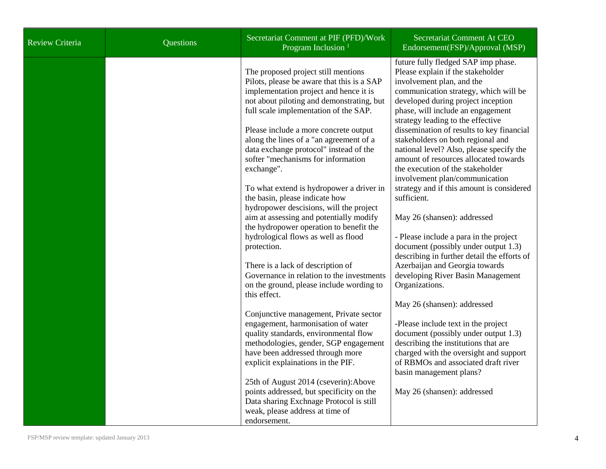| Review Criteria | Questions | Secretariat Comment at PIF (PFD)/Work<br>Program Inclusion <sup>1</sup>                                                                                                                                                                                                                                                                                                                                                                                                                                                                                                                                                                                                                                                                                                                                                                                                                                                                                                                                                                                            | Secretariat Comment At CEO<br>Endorsement(FSP)/Approval (MSP)                                                                                                                                                                                                                                                                                                                                                                                                                                                                                                                                                                                                                                                                                                                                                                                                                                                                                                                                                                                                                                      |
|-----------------|-----------|--------------------------------------------------------------------------------------------------------------------------------------------------------------------------------------------------------------------------------------------------------------------------------------------------------------------------------------------------------------------------------------------------------------------------------------------------------------------------------------------------------------------------------------------------------------------------------------------------------------------------------------------------------------------------------------------------------------------------------------------------------------------------------------------------------------------------------------------------------------------------------------------------------------------------------------------------------------------------------------------------------------------------------------------------------------------|----------------------------------------------------------------------------------------------------------------------------------------------------------------------------------------------------------------------------------------------------------------------------------------------------------------------------------------------------------------------------------------------------------------------------------------------------------------------------------------------------------------------------------------------------------------------------------------------------------------------------------------------------------------------------------------------------------------------------------------------------------------------------------------------------------------------------------------------------------------------------------------------------------------------------------------------------------------------------------------------------------------------------------------------------------------------------------------------------|
|                 |           | The proposed project still mentions<br>Pilots, please be aware that this is a SAP<br>implementation project and hence it is<br>not about piloting and demonstrating, but<br>full scale implementation of the SAP.<br>Please include a more concrete output<br>along the lines of a "an agreement of a<br>data exchange protocol" instead of the<br>softer "mechanisms for information<br>exchange".<br>To what extend is hydropower a driver in<br>the basin, please indicate how<br>hydropower descisions, will the project<br>aim at assessing and potentially modify<br>the hydropower operation to benefit the<br>hydrological flows as well as flood<br>protection.<br>There is a lack of description of<br>Governance in relation to the investments<br>on the ground, please include wording to<br>this effect.<br>Conjunctive management, Private sector<br>engagement, harmonisation of water<br>quality standards, environmental flow<br>methodologies, gender, SGP engagement<br>have been addressed through more<br>explicit explainations in the PIF. | future fully fledged SAP imp phase.<br>Please explain if the stakeholder<br>involvement plan, and the<br>communication strategy, which will be<br>developed during project inception<br>phase, will include an engagement<br>strategy leading to the effective<br>dissemination of results to key financial<br>stakeholders on both regional and<br>national level? Also, please specify the<br>amount of resources allocated towards<br>the execution of the stakeholder<br>involvement plan/communication<br>strategy and if this amount is considered<br>sufficient.<br>May 26 (shansen): addressed<br>- Please include a para in the project<br>document (possibly under output 1.3)<br>describing in further detail the efforts of<br>Azerbaijan and Georgia towards<br>developing River Basin Management<br>Organizations.<br>May 26 (shansen): addressed<br>-Please include text in the project<br>document (possibly under output 1.3)<br>describing the institutions that are<br>charged with the oversight and support<br>of RBMOs and associated draft river<br>basin management plans? |
|                 |           | 25th of August 2014 (cseverin): Above<br>points addressed, but specificity on the<br>Data sharing Exchnage Protocol is still<br>weak, please address at time of<br>endorsement.                                                                                                                                                                                                                                                                                                                                                                                                                                                                                                                                                                                                                                                                                                                                                                                                                                                                                    | May 26 (shansen): addressed                                                                                                                                                                                                                                                                                                                                                                                                                                                                                                                                                                                                                                                                                                                                                                                                                                                                                                                                                                                                                                                                        |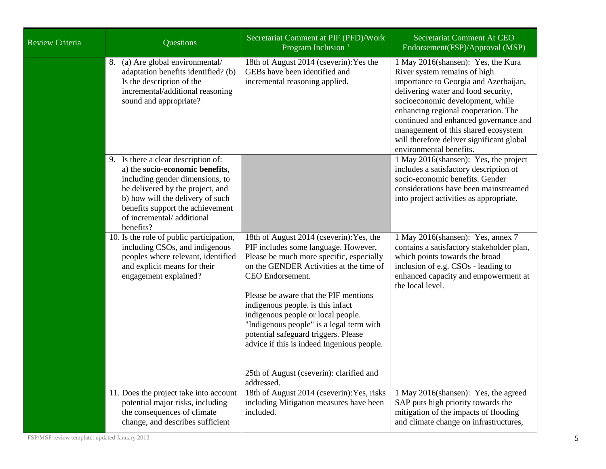| <b>Review Criteria</b> | Questions                                                                                                                                                                                                                                                       | Secretariat Comment at PIF (PFD)/Work<br>Program Inclusion <sup>1</sup>                                                                                                                                                                                                                                                                                                                                                                                                                                     | Secretariat Comment At CEO<br>Endorsement(FSP)/Approval (MSP)                                                                                                                                                                                                                                                                                                                         |
|------------------------|-----------------------------------------------------------------------------------------------------------------------------------------------------------------------------------------------------------------------------------------------------------------|-------------------------------------------------------------------------------------------------------------------------------------------------------------------------------------------------------------------------------------------------------------------------------------------------------------------------------------------------------------------------------------------------------------------------------------------------------------------------------------------------------------|---------------------------------------------------------------------------------------------------------------------------------------------------------------------------------------------------------------------------------------------------------------------------------------------------------------------------------------------------------------------------------------|
|                        | (a) Are global environmental/<br>8.<br>adaptation benefits identified? (b)<br>Is the description of the<br>incremental/additional reasoning<br>sound and appropriate?                                                                                           | 18th of August 2014 (cseverin): Yes the<br>GEBs have been identified and<br>incremental reasoning applied.                                                                                                                                                                                                                                                                                                                                                                                                  | 1 May 2016(shansen): Yes, the Kura<br>River system remains of high<br>importance to Georgia and Azerbaijan,<br>delivering water and food security,<br>socioeconomic development, while<br>enhancing regional cooperation. The<br>continued and enhanced governance and<br>management of this shared ecosystem<br>will therefore deliver significant global<br>environmental benefits. |
|                        | 9. Is there a clear description of:<br>a) the socio-economic benefits,<br>including gender dimensions, to<br>be delivered by the project, and<br>b) how will the delivery of such<br>benefits support the achievement<br>of incremental/additional<br>benefits? |                                                                                                                                                                                                                                                                                                                                                                                                                                                                                                             | 1 May 2016(shansen): Yes, the project<br>includes a satisfactory description of<br>socio-economic benefits. Gender<br>considerations have been mainstreamed<br>into project activities as appropriate.                                                                                                                                                                                |
|                        | 10. Is the role of public participation,<br>including CSOs, and indigenous<br>peoples where relevant, identified<br>and explicit means for their<br>engagement explained?                                                                                       | 18th of August 2014 (cseverin): Yes, the<br>PIF includes some language. However,<br>Please be much more specific, especially<br>on the GENDER Activities at the time of<br>CEO Endorsement.<br>Please be aware that the PIF mentions<br>indigenous people. is this infact<br>indigenous people or local people.<br>"Indigenous people" is a legal term with<br>potential safeguard triggers. Please<br>advice if this is indeed Ingenious people.<br>25th of August (cseverin): clarified and<br>addressed. | 1 May 2016(shansen): Yes, annex 7<br>contains a satisfactory stakeholder plan,<br>which points towards the broad<br>inclusion of e.g. CSOs - leading to<br>enhanced capacity and empowerment at<br>the local level.                                                                                                                                                                   |
|                        | 11. Does the project take into account<br>potential major risks, including<br>the consequences of climate<br>change, and describes sufficient                                                                                                                   | 18th of August 2014 (cseverin): Yes, risks<br>including Mitigation measures have been<br>included.                                                                                                                                                                                                                                                                                                                                                                                                          | 1 May 2016(shansen): Yes, the agreed<br>SAP puts high priority towards the<br>mitigation of the impacts of flooding<br>and climate change on infrastructures,                                                                                                                                                                                                                         |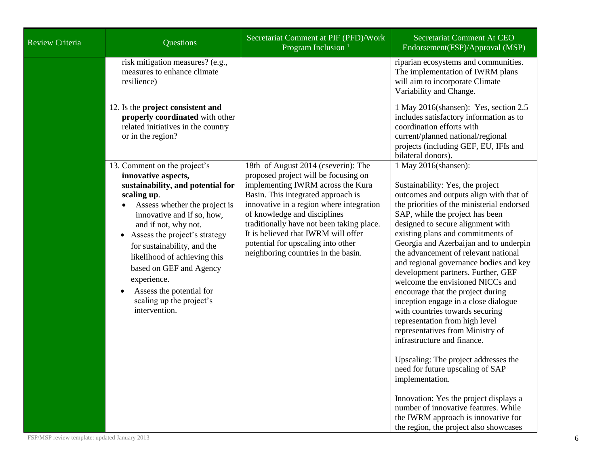| <b>Review Criteria</b> | Questions                                                                                                                                                                                                                                                                                                                                                                                                         | Secretariat Comment at PIF (PFD)/Work<br>Program Inclusion <sup>1</sup>                                                                                                                                                                                                                                                                                                                             | Secretariat Comment At CEO<br>Endorsement(FSP)/Approval (MSP)                                                                                                                                                                                                                                                                                                                                                                                                                                                                                                                                                                                                                                                                                                                                                                                                                                                                                               |
|------------------------|-------------------------------------------------------------------------------------------------------------------------------------------------------------------------------------------------------------------------------------------------------------------------------------------------------------------------------------------------------------------------------------------------------------------|-----------------------------------------------------------------------------------------------------------------------------------------------------------------------------------------------------------------------------------------------------------------------------------------------------------------------------------------------------------------------------------------------------|-------------------------------------------------------------------------------------------------------------------------------------------------------------------------------------------------------------------------------------------------------------------------------------------------------------------------------------------------------------------------------------------------------------------------------------------------------------------------------------------------------------------------------------------------------------------------------------------------------------------------------------------------------------------------------------------------------------------------------------------------------------------------------------------------------------------------------------------------------------------------------------------------------------------------------------------------------------|
|                        | risk mitigation measures? (e.g.,<br>measures to enhance climate<br>resilience)                                                                                                                                                                                                                                                                                                                                    |                                                                                                                                                                                                                                                                                                                                                                                                     | riparian ecosystems and communities.<br>The implementation of IWRM plans<br>will aim to incorporate Climate<br>Variability and Change.                                                                                                                                                                                                                                                                                                                                                                                                                                                                                                                                                                                                                                                                                                                                                                                                                      |
|                        | 12. Is the project consistent and<br>properly coordinated with other<br>related initiatives in the country<br>or in the region?                                                                                                                                                                                                                                                                                   |                                                                                                                                                                                                                                                                                                                                                                                                     | 1 May 2016(shansen): Yes, section 2.5<br>includes satisfactory information as to<br>coordination efforts with<br>current/planned national/regional<br>projects (including GEF, EU, IFIs and<br>bilateral donors).                                                                                                                                                                                                                                                                                                                                                                                                                                                                                                                                                                                                                                                                                                                                           |
|                        | 13. Comment on the project's<br>innovative aspects,<br>sustainability, and potential for<br>scaling up.<br>Assess whether the project is<br>innovative and if so, how,<br>and if not, why not.<br>Assess the project's strategy<br>for sustainability, and the<br>likelihood of achieving this<br>based on GEF and Agency<br>experience.<br>Assess the potential for<br>scaling up the project's<br>intervention. | 18th of August 2014 (cseverin): The<br>proposed project will be focusing on<br>implementing IWRM across the Kura<br>Basin. This integrated approach is<br>innovative in a region where integration<br>of knowledge and disciplines<br>traditionally have not been taking place.<br>It is believed that IWRM will offer<br>potential for upscaling into other<br>neighboring countries in the basin. | 1 May 2016(shansen):<br>Sustainability: Yes, the project<br>outcomes and outputs align with that of<br>the priorities of the ministerial endorsed<br>SAP, while the project has been<br>designed to secure alignment with<br>existing plans and commitments of<br>Georgia and Azerbaijan and to underpin<br>the advancement of relevant national<br>and regional governance bodies and key<br>development partners. Further, GEF<br>welcome the envisioned NICCs and<br>encourage that the project during<br>inception engage in a close dialogue<br>with countries towards securing<br>representation from high level<br>representatives from Ministry of<br>infrastructure and finance.<br>Upscaling: The project addresses the<br>need for future upscaling of SAP<br>implementation.<br>Innovation: Yes the project displays a<br>number of innovative features. While<br>the IWRM approach is innovative for<br>the region, the project also showcases |

FSP/MSP review template: updated January 2013 6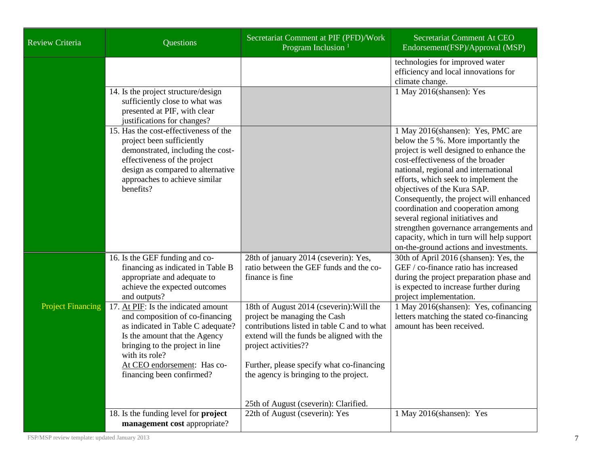| Review Criteria          | <b>Questions</b>                                                                                                                                                                                                                                              | Secretariat Comment at PIF (PFD)/Work<br>Program Inclusion <sup>1</sup>                                                                                                                                                                                                                                                      | Secretariat Comment At CEO<br>Endorsement(FSP)/Approval (MSP)                                                                                                                                                                                                                                                                                                                                                                                                                                                                 |
|--------------------------|---------------------------------------------------------------------------------------------------------------------------------------------------------------------------------------------------------------------------------------------------------------|------------------------------------------------------------------------------------------------------------------------------------------------------------------------------------------------------------------------------------------------------------------------------------------------------------------------------|-------------------------------------------------------------------------------------------------------------------------------------------------------------------------------------------------------------------------------------------------------------------------------------------------------------------------------------------------------------------------------------------------------------------------------------------------------------------------------------------------------------------------------|
|                          | 14. Is the project structure/design<br>sufficiently close to what was                                                                                                                                                                                         |                                                                                                                                                                                                                                                                                                                              | technologies for improved water<br>efficiency and local innovations for<br>climate change.<br>1 May 2016(shansen): Yes                                                                                                                                                                                                                                                                                                                                                                                                        |
|                          | presented at PIF, with clear<br>justifications for changes?                                                                                                                                                                                                   |                                                                                                                                                                                                                                                                                                                              |                                                                                                                                                                                                                                                                                                                                                                                                                                                                                                                               |
|                          | 15. Has the cost-effectiveness of the<br>project been sufficiently<br>demonstrated, including the cost-<br>effectiveness of the project<br>design as compared to alternative<br>approaches to achieve similar<br>benefits?                                    |                                                                                                                                                                                                                                                                                                                              | 1 May 2016(shansen): Yes, PMC are<br>below the 5 %. More importantly the<br>project is well designed to enhance the<br>cost-effectiveness of the broader<br>national, regional and international<br>efforts, which seek to implement the<br>objectives of the Kura SAP.<br>Consequently, the project will enhanced<br>coordination and cooperation among<br>several regional initiatives and<br>strengthen governance arrangements and<br>capacity, which in turn will help support<br>on-the-ground actions and investments. |
|                          | 16. Is the GEF funding and co-<br>financing as indicated in Table B<br>appropriate and adequate to<br>achieve the expected outcomes<br>and outputs?                                                                                                           | 28th of january 2014 (cseverin): Yes,<br>ratio between the GEF funds and the co-<br>finance is fine                                                                                                                                                                                                                          | 30th of April 2016 (shansen): Yes, the<br>GEF / co-finance ratio has increased<br>during the project preparation phase and<br>is expected to increase further during<br>project implementation.                                                                                                                                                                                                                                                                                                                               |
| <b>Project Financing</b> | 17. At PIF: Is the indicated amount<br>and composition of co-financing<br>as indicated in Table C adequate?<br>Is the amount that the Agency<br>bringing to the project in line<br>with its role?<br>At CEO endorsement: Has co-<br>financing been confirmed? | 18th of August 2014 (cseverin): Will the<br>project be managing the Cash<br>contributions listed in table C and to what<br>extend will the funds be aligned with the<br>project activities??<br>Further, please specify what co-financing<br>the agency is bringing to the project.<br>25th of August (cseverin): Clarified. | 1 May 2016(shansen): Yes, cofinancing<br>letters matching the stated co-financing<br>amount has been received.                                                                                                                                                                                                                                                                                                                                                                                                                |
|                          | 18. Is the funding level for <b>project</b><br>management cost appropriate?                                                                                                                                                                                   | 22th of August (cseverin): Yes                                                                                                                                                                                                                                                                                               | 1 May 2016(shansen): Yes                                                                                                                                                                                                                                                                                                                                                                                                                                                                                                      |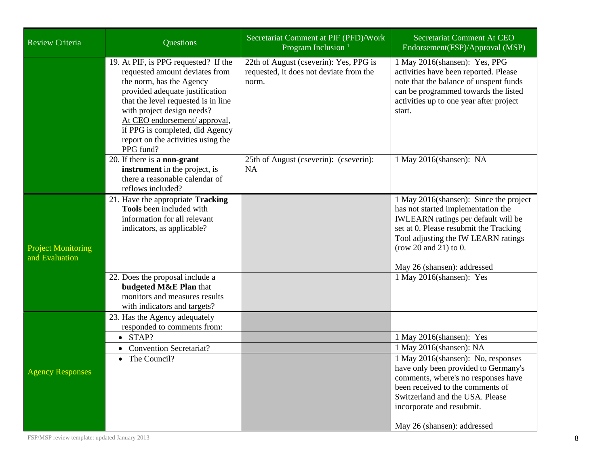| Review Criteria                             | Questions                                                                                                                                                                                                                                                                                                                         | Secretariat Comment at PIF (PFD)/Work<br>Program Inclusion                                 | Secretariat Comment At CEO<br>Endorsement(FSP)/Approval (MSP)                                                                                                                                                                                                       |
|---------------------------------------------|-----------------------------------------------------------------------------------------------------------------------------------------------------------------------------------------------------------------------------------------------------------------------------------------------------------------------------------|--------------------------------------------------------------------------------------------|---------------------------------------------------------------------------------------------------------------------------------------------------------------------------------------------------------------------------------------------------------------------|
|                                             | 19. At PIF, is PPG requested? If the<br>requested amount deviates from<br>the norm, has the Agency<br>provided adequate justification<br>that the level requested is in line<br>with project design needs?<br>At CEO endorsement/ approval,<br>if PPG is completed, did Agency<br>report on the activities using the<br>PPG fund? | 22th of August (cseverin): Yes, PPG is<br>requested, it does not deviate from the<br>norm. | 1 May 2016(shansen): Yes, PPG<br>activities have been reported. Please<br>note that the balance of unspent funds<br>can be programmed towards the listed<br>activities up to one year after project<br>start.                                                       |
|                                             | 20. If there is a non-grant<br>instrument in the project, is<br>there a reasonable calendar of<br>reflows included?                                                                                                                                                                                                               | 25th of August (cseverin): (cseverin):<br><b>NA</b>                                        | 1 May 2016(shansen): NA                                                                                                                                                                                                                                             |
| <b>Project Monitoring</b><br>and Evaluation | 21. Have the appropriate Tracking<br>Tools been included with<br>information for all relevant<br>indicators, as applicable?                                                                                                                                                                                                       |                                                                                            | 1 May 2016(shansen): Since the project<br>has not started implementation the<br><b>IWLEARN</b> ratings per default will be<br>set at 0. Please resubmit the Tracking<br>Tool adjusting the IW LEARN ratings<br>(row 20 and 21) to 0.<br>May 26 (shansen): addressed |
|                                             | 22. Does the proposal include a<br>budgeted M&E Plan that<br>monitors and measures results<br>with indicators and targets?                                                                                                                                                                                                        |                                                                                            | 1 May 2016(shansen): Yes                                                                                                                                                                                                                                            |
| <b>Agency Responses</b>                     | 23. Has the Agency adequately<br>responded to comments from:                                                                                                                                                                                                                                                                      |                                                                                            |                                                                                                                                                                                                                                                                     |
|                                             | STAP?<br>$\bullet$                                                                                                                                                                                                                                                                                                                |                                                                                            | 1 May 2016(shansen): Yes                                                                                                                                                                                                                                            |
|                                             | <b>Convention Secretariat?</b><br>The Council?<br>$\bullet$                                                                                                                                                                                                                                                                       |                                                                                            | 1 May 2016(shansen): NA<br>1 May 2016(shansen): No, responses                                                                                                                                                                                                       |
|                                             |                                                                                                                                                                                                                                                                                                                                   |                                                                                            | have only been provided to Germany's<br>comments, where's no responses have                                                                                                                                                                                         |
|                                             |                                                                                                                                                                                                                                                                                                                                   |                                                                                            | been received to the comments of<br>Switzerland and the USA. Please<br>incorporate and resubmit.                                                                                                                                                                    |
|                                             |                                                                                                                                                                                                                                                                                                                                   |                                                                                            | May 26 (shansen): addressed                                                                                                                                                                                                                                         |